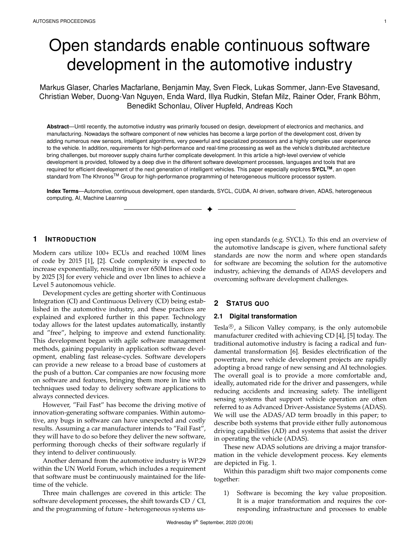# Open standards enable continuous software development in the automotive industry

Markus Glaser, Charles Macfarlane, Benjamin May, Sven Fleck, Lukas Sommer, Jann-Eve Stavesand, Christian Weber, Duong-Van Nguyen, Enda Ward, Illya Rudkin, Stefan Milz, Rainer Oder, Frank Bohm, ¨ Benedikt Schonlau, Oliver Hupfeld, Andreas Koch

**Abstract**—Until recently, the automotive industry was primarily focused on design, development of electronics and mechanics, and manufacturing. Nowadays the software component of new vehicles has become a large portion of the development cost, driven by adding numerous new sensors, intelligent algorithms, very powerful and specialized processors and a highly complex user experience to the vehicle. In addition, requirements for high-performance and real-time processing as well as the vehicle's distributed architecture bring challenges, but moreover supply chains further complicate development. In this article a high-level overview of vehicle development is provided, followed by a deep dive in the different software development processes, languages and tools that are required for efficient development of the next generation of intelligent vehicles. This paper especially explores **SYCLTM**, an open standard from The Khronos™ Group for high-performance programming of heterogeneous multicore processor system.

**Index Terms**—Automotive, continuous development, open standards, SYCL, CUDA, AI driven, software driven, ADAS, heterogeneous computing, AI, Machine Learning ✦

# **1 INTRODUCTION**

Modern cars utilize 100+ ECUs and reached 100M lines of code by 2015 [1], [2]. Code complexity is expected to increase exponentially, resulting in over 650M lines of code by 2025 [3] for every vehicle and over 1bn lines to achieve a Level 5 autonomous vehicle.

Development cycles are getting shorter with Continuous Integration (CI) and Continuous Delivery (CD) being established in the automotive industry, and these practices are explained and explored further in this paper. Technology today allows for the latest updates automatically, instantly and "free", helping to improve and extend functionality. This development began with agile software management methods, gaining popularity in application software development, enabling fast release-cycles. Software developers can provide a new release to a broad base of customers at the push of a button. Car companies are now focusing more on software and features, bringing them more in line with techniques used today to delivery software applications to always connected devices.

However, "Fail Fast" has become the driving motive of innovation-generating software companies. Within automotive, any bugs in software can have unexpected and costly results. Assuming a car manufacturer intends to "Fail Fast", they will have to do so before they deliver the new software, performing thorough checks of their software regularly if they intend to deliver continuously.

Another demand from the automotive industry is WP.29 within the UN World Forum, which includes a requirement that software must be continuously maintained for the lifetime of the vehicle.

Three main challenges are covered in this article: The software development processes, the shift towards CD / CI, and the programming of future - heterogeneous systems us-

ing open standards (e.g. SYCL). To this end an overview of the automotive landscape is given, where functional safety standards are now the norm and where open standards for software are becoming the solution for the automotive industry, achieving the demands of ADAS developers and overcoming software development challenges.

# **2 STATUS QUO**

## **2.1 Digital transformation**

Tesla<sup>®</sup>, a Silicon Valley company, is the only automobile manufacturer credited with achieving CD [4], [5] today. The traditional automotive industry is facing a radical and fundamental transformation [6]. Besides electrification of the powertrain, new vehicle development projects are rapidly adopting a broad range of new sensing and AI technologies. The overall goal is to provide a more comfortable and, ideally, automated ride for the driver and passengers, while reducing accidents and increasing safety. The intelligent sensing systems that support vehicle operation are often referred to as Advanced Driver-Assistance Systems (ADAS). We will use the ADAS/AD term broadly in this paper; to describe both systems that provide either fully autonomous driving capabilities (AD) and systems that assist the driver in operating the vehicle (ADAS).

These new ADAS solutions are driving a major transformation in the vehicle development process. Key elements are depicted in Fig. 1.

Within this paradigm shift two major components come together:

1) Software is becoming the key value proposition. It is a major transformation and requires the corresponding infrastructure and processes to enable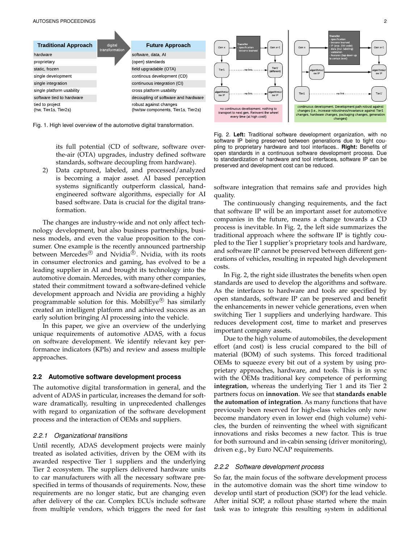

Fig. 1. High level overview of the automotive digital transformation.

its full potential (CD of software, software overthe-air (OTA) upgrades, industry defined software standards, software decoupling from hardware).

2) Data captured, labeled, and processed/analyzed is becoming a major asset. AI based perception systems significantly outperform classical, handengineered software algorithms, especially for AI based software. Data is crucial for the digital transformation.

The changes are industry-wide and not only affect technology development, but also business partnerships, business models, and even the value proposition to the consumer. One example is the recently announced partnership between Mercedes<sup>®</sup> and Nvidia®. Nvidia, with its roots in consumer electronics and gaming, has evolved to be a leading supplier in AI and brought its technology into the automotive domain. Mercedes, with many other companies, stated their commitment toward a software-defined vehicle development approach and Nvidia are providing a highly programmable solution for this. MobilEye® has similarly created an intelligent platform and achieved success as an early solution bringing AI processing into the vehicle.

In this paper, we give an overview of the underlying unique requirements of automotive ADAS, with a focus on software development. We identify relevant key performance indicators (KPIs) and review and assess multiple approaches.

## **2.2 Automotive software development process**

The automotive digital transformation in general, and the advent of ADAS in particular, increases the demand for software dramatically, resulting in unprecedented challenges with regard to organization of the software development process and the interaction of OEMs and suppliers.

#### *2.2.1 Organizational transitions*

Until recently, ADAS development projects were mainly treated as isolated activities, driven by the OEM with its awarded respective Tier 1 suppliers and the underlying Tier 2 ecosystem. The suppliers delivered hardware units to car manufacturers with all the necessary software prespecified in terms of thousands of requirements. Now, these requirements are no longer static, but are changing even after delivery of the car. Complex ECUs include software from multiple vendors, which triggers the need for fast



Fig. 2. **Left:** Traditional software development organization, with no software IP being preserved between generations due to tight coupling to proprietary hardware and tool interfaces.. **Right:** Benefits of open standards in a continuous software development process. Due to standardization of hardware and tool interfaces, software IP can be preserved and development cost can be reduced.

software integration that remains safe and provides high quality.

The continuously changing requirements, and the fact that software IP will be an important asset for automotive companies in the future, means a change towards a CD process is inevitable. In Fig. 2, the left side summarizes the traditional approach where the software IP is tightly coupled to the Tier 1 supplier's proprietary tools and hardware, and software IP cannot be preserved between different generations of vehicles, resulting in repeated high development costs.

In Fig. 2, the right side illustrates the benefits when open standards are used to develop the algorithms and software. As the interfaces to hardware and tools are specified by open standards, software IP can be preserved and benefit the enhancements in newer vehicle generations, even when switching Tier 1 suppliers and underlying hardware. This reduces development cost, time to market and preserves important company assets.

Due to the high volume of automobiles, the development effort (and cost) is less crucial compared to the bill of material (BOM) of such systems. This forced traditional OEMs to squeeze every bit out of a system by using proprietary approaches, hardware, and tools. This is in sync with the OEMs traditional key competence of performing **integration**, whereas the underlying Tier 1 and its Tier 2 partners focus on **innovation**. We see that **standards enable the automation of integration**. As many functions that have previously been reserved for high-class vehicles only now become mandatory even in lower end (high volume) vehicles, the burden of reinventing the wheel with significant innovations and risks becomes a new factor. This is true for both surround and in-cabin sensing (driver monitoring), driven e.g., by Euro NCAP requirements.

#### *2.2.2 Software development process*

So far, the main focus of the software development process in the automotive domain was the short time window to develop until start of production (SOP) for the lead vehicle. After initial SOP, a rollout phase started where the main task was to integrate this resulting system in additional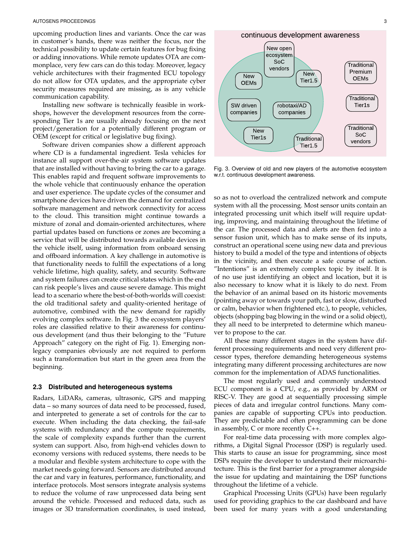upcoming production lines and variants. Once the car was in customer's hands, there was neither the focus, nor the technical possibility to update certain features for bug fixing or adding innovations. While remote updates OTA are commonplace, very few cars can do this today. Moreover, legacy vehicle architectures with their fragmented ECU topology do not allow for OTA updates, and the appropriate cyber security measures required are missing, as is any vehicle communication capability.

Installing new software is technically feasible in workshops, however the development resources from the corresponding Tier 1s are usually already focusing on the next project/generation for a potentially different program or OEM (except for critical or legislative bug fixing).

Software driven companies show a different approach where CD is a fundamental ingredient. Tesla vehicles for instance all support over-the-air system software updates that are installed without having to bring the car to a garage. This enables rapid and frequent software improvements to the whole vehicle that continuously enhance the operation and user experience. The update cycles of the consumer and smartphone devices have driven the demand for centralized software management and network connectivity for access to the cloud. This transition might continue towards a mixture of zonal and domain-oriented architectures, where partial updates based on functions or zones are becoming a service that will be distributed towards available devices in the vehicle itself, using information from onboard sensing and offboard information. A key challenge in automotive is that functionality needs to fulfill the expectations of a long vehicle lifetime, high quality, safety, and security. Software and system failures can create critical states which in the end can risk people's lives and cause severe damage. This might lead to a scenario where the best-of-both-worlds will coexist: the old traditional safety and quality-oriented heritage of automotive, combined with the new demand for rapidly evolving complex software. In Fig. 3 the ecosystem players' roles are classified relative to their awareness for continuous development (and thus their belonging to the "Future Approach" category on the right of Fig. 1). Emerging nonlegacy companies obviously are not required to perform such a transformation but start in the green area from the beginning.

#### **2.3 Distributed and heterogeneous systems**

Radars, LiDARs, cameras, ultrasonic, GPS and mapping data – so many sources of data need to be processed, fused, and interpreted to generate a set of controls for the car to execute. When including the data checking, the fail-safe systems with redundancy and the compute requirements, the scale of complexity expands further than the current system can support. Also, from high-end vehicles down to economy versions with reduced systems, there needs to be a modular and flexible system architecture to cope with the market needs going forward. Sensors are distributed around the car and vary in features, performance, functionality, and interface protocols. Most sensors integrate analysis systems to reduce the volume of raw unprocessed data being sent around the vehicle. Processed and reduced data, such as images or 3D transformation coordinates, is used instead,

continuous development awareness



Fig. 3. Overview of old and new players of the automotive ecosystem w.r.t. continuous development awareness.

so as not to overload the centralized network and compute system with all the processing. Most sensor units contain an integrated processing unit which itself will require updating, improving, and maintaining throughout the lifetime of the car. The processed data and alerts are then fed into a sensor fusion unit, which has to make sense of its inputs, construct an operational scene using new data and previous history to build a model of the type and intentions of objects in the vicinity, and then execute a safe course of action. "Intentions" is an extremely complex topic by itself. It is of no use just identifying an object and location, but it is also necessary to know what it is likely to do next. From the behavior of an animal based on its historic movements (pointing away or towards your path, fast or slow, disturbed or calm, behavior when frightened etc.), to people, vehicles, objects (shopping bag blowing in the wind or a solid object), they all need to be interpreted to determine which maneuver to propose to the car.

All these many different stages in the system have different processing requirements and need very different processor types, therefore demanding heterogeneous systems integrating many different processing architectures are now common for the implementation of ADAS functionalities.

The most regularly used and commonly understood ECU component is a CPU, e.g., as provided by ARM or RISC-V. They are good at sequentially processing simple pieces of data and irregular control functions. Many companies are capable of supporting CPUs into production. They are predictable and often programming can be done in assembly, C or more recently C++.

For real-time data processing with more complex algorithms, a Digital Signal Processor (DSP) is regularly used. This starts to cause an issue for programming, since most DSPs require the developer to understand their microarchitecture. This is the first barrier for a programmer alongside the issue for updating and maintaining the DSP functions throughout the lifetime of a vehicle.

Graphical Processing Units (GPUs) have been regularly used for providing graphics to the car dashboard and have been used for many years with a good understanding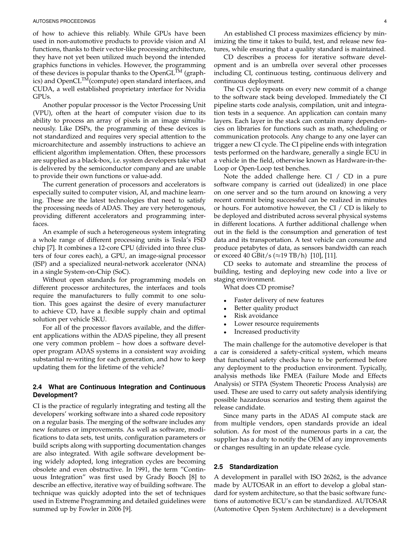of how to achieve this reliably. While GPUs have been used in non-automotive products to provide vision and AI functions, thanks to their vector-like processing architecture, they have not yet been utilized much beyond the intended graphics functions in vehicles. However, the programming of these devices is popular thanks to the OpenGL<sup>TM</sup> (graphics) and OpenCL<sup>TM</sup>(compute) open standard interfaces, and CUDA, a well established proprietary interface for Nvidia GPUs.

Another popular processor is the Vector Processing Unit (VPU), often at the heart of computer vision due to its ability to process an array of pixels in an image simultaneously. Like DSPs, the programming of these devices is not standardized and requires very special attention to the microarchitecture and assembly instructions to achieve an efficient algorithm implementation. Often, these processors are supplied as a black-box, i.e. system developers take what is delivered by the semiconductor company and are unable to provide their own functions or value-add.

The current generation of processors and accelerators is especially suited to computer vision, AI, and machine learning. These are the latest technologies that need to satisfy the processing needs of ADAS. They are very heterogenous, providing different accelerators and programming interfaces.

An example of such a heterogeneous system integrating a whole range of different processing units is Tesla's FSD chip [7]. It combines a 12-core CPU (divided into three clusters of four cores each), a GPU, an image-signal processor (ISP) and a specialized neural-network accelerator (NNA) in a single System-on-Chip (SoC).

Without open standards for programming models on different processor architectures, the interfaces and tools require the manufacturers to fully commit to one solution. This goes against the desire of every manufacturer to achieve CD, have a flexible supply chain and optimal solution per vehicle SKU.

For all of the processor flavors available, and the different applications within the ADAS pipeline, they all present one very common problem – how does a software developer program ADAS systems in a consistent way avoiding substantial re-writing for each generation, and how to keep updating them for the lifetime of the vehicle?

## **2.4 What are Continuous Integration and Continuous Development?**

CI is the practice of regularly integrating and testing all the developers' working software into a shared code repository on a regular basis. The merging of the software includes any new features or improvements. As well as software, modifications to data sets, test units, configuration parameters or build scripts along with supporting documentation changes are also integrated. With agile software development being widely adopted, long integration cycles are becoming obsolete and even obstructive. In 1991, the term "Continuous Integration" was first used by Grady Booch [8] to describe an effective, iterative way of building software. The technique was quickly adopted into the set of techniques used in Extreme Programming and detailed guidelines were summed up by Fowler in 2006 [9].

An established CI process maximizes efficiency by minimizing the time it takes to build, test, and release new features, while ensuring that a quality standard is maintained.

CD describes a process for iterative software development and is an umbrella over several other processes including CI, continuous testing, continuous delivery and continuous deployment.

The CI cycle repeats on every new commit of a change to the software stack being developed. Immediately the CI pipeline starts code analysis, compilation, unit and integration tests in a sequence. An application can contain many layers. Each layer in the stack can contain many dependencies on libraries for functions such as math, scheduling or communication protocols. Any change to any one layer can trigger a new CI cycle. The CI pipeline ends with integration tests performed on the hardware, generally a single ECU in a vehicle in the field, otherwise known as Hardware-in-the-Loop or Open-Loop test benches.

Note the added challenge here. CI / CD in a pure software company is carried out (idealized) in one place on one server and so the turn around on knowing a very recent commit being successful can be realized in minutes or hours. For automotive however, the CI / CD is likely to be deployed and distributed across several physical systems in different locations. A further additional challenge when out in the field is the consumption and generation of test data and its transportation. A test vehicle can consume and produce petabytes of data, as sensors bandwidth can reach or exceed 40 GBit/s (≈19 TB/h) [10], [11].

CD seeks to automate and streamline the process of building, testing and deploying new code into a live or staging environment.

What does CD promise?

- Faster delivery of new features
- Better quality product
- Risk avoidance
- Lower resource requirements
- Increased productivity

The main challenge for the automotive developer is that a car is considered a safety-critical system, which means that functional safety checks have to be performed before any deployment to the production environment. Typically, analysis methods like FMEA (Failure Mode and Effects Analysis) or STPA (System Theoretic Process Analysis) are used. These are used to carry out safety analysis identifying possible hazardous scenarios and testing them against the release candidate.

Since many parts in the ADAS AI compute stack are from multiple vendors, open standards provide an ideal solution. As for most of the numerous parts in a car, the supplier has a duty to notify the OEM of any improvements or changes resulting in an update release cycle.

#### **2.5 Standardization**

A development in parallel with ISO 26262, is the advance made by AUTOSAR in an effort to develop a global standard for system architecture, so that the basic software functions of automotive ECU's can be standardized. AUTOSAR (Automotive Open System Architecture) is a development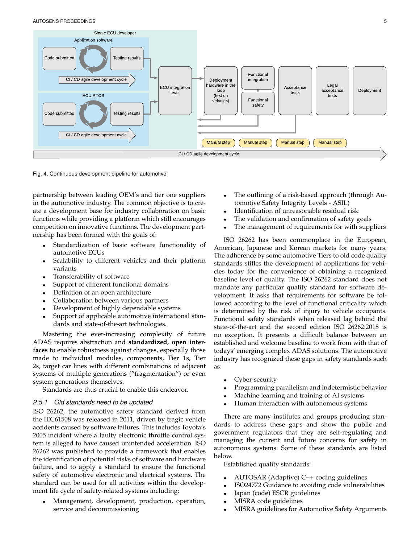

Fig. 4. Continuous development pipeline for automotive

partnership between leading OEM's and tier one suppliers in the automotive industry. The common objective is to create a development base for industry collaboration on basic functions while providing a platform which still encourages competition on innovative functions. The development partnership has been formed with the goals of:

- Standardization of basic software functionality of automotive ECUs
- Scalability to different vehicles and their platform variants
- Transferability of software
- Support of different functional domains
- Definition of an open architecture
- Collaboration between various partners
- Development of highly dependable systems
- Support of applicable automotive international standards and state-of-the-art technologies.

Mastering the ever-increasing complexity of future ADAS requires abstraction and **standardized, open interfaces** to enable robustness against changes, especially those made to individual modules, components, Tier 1s, Tier 2s, target car lines with different combinations of adjacent systems of multiple generations ("fragmentation") or even system generations themselves.

Standards are thus crucial to enable this endeavor.

## *2.5.1 Old standards need to be updated*

ISO 26262, the automotive safety standard derived from the IEC61508 was released in 2011, driven by tragic vehicle accidents caused by software failures. This includes Toyota's 2005 incident where a faulty electronic throttle control system is alleged to have caused unintended acceleration. ISO 26262 was published to provide a framework that enables the identification of potential risks of software and hardware failure, and to apply a standard to ensure the functional safety of automotive electronic and electrical systems. The standard can be used for all activities within the development life cycle of safety-related systems including:

• Management, development, production, operation, service and decommissioning

- The outlining of a risk-based approach (through Automotive Safety Integrity Levels - ASIL)
- Identification of unreasonable residual risk
- The validation and confirmation of safety goals
- The management of requirements for with suppliers

ISO 26262 has been commonplace in the European, American, Japanese and Korean markets for many years. The adherence by some automotive Tiers to old code quality standards stifles the development of applications for vehicles today for the convenience of obtaining a recognized baseline level of quality. The ISO 26262 standard does not mandate any particular quality standard for software development. It asks that requirements for software be followed according to the level of functional criticality which is determined by the risk of injury to vehicle occupants. Functional safety standards when released lag behind the state-of-the-art and the second edition ISO 26262:2018 is no exception. It presents a difficult balance between an established and welcome baseline to work from with that of todays' emerging complex ADAS solutions. The automotive industry has recognized these gaps in safety standards such as:

- Cyber-security
- Programming parallelism and indetermistic behavior
- Machine learning and training of AI systems
- Human interaction with autonomous systems

There are many institutes and groups producing standards to address these gaps and show the public and government regulators that they are self-regulating and managing the current and future concerns for safety in autonomous systems. Some of these standards are listed below.

Established quality standards:

- AUTOSAR (Adaptive) C++ coding guidelines
- ISO24772 Guidance to avoiding code vulnerabilities
- Japan (code) ESCR guidelines
- MISRA code guidelines
- MISRA guidelines for Automotive Safety Arguments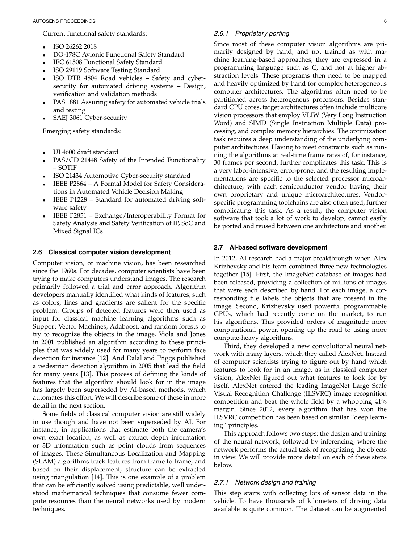Current functional safety standards:

- ISO 26262:2018
- DO-178C Avionic Functional Safety Standard
- IEC 61508 Functional Safety Standard
- ISO 29119 Software Testing Standard
- ISO DTR 4804 Road vehicles Safety and cybersecurity for automated driving systems – Design, verification and validation methods
- PAS 1881 Assuring safety for automated vehicle trials and testing
- SAEJ 3061 Cyber-security

Emerging safety standards:

- UL4600 draft standard
- PAS/CD 21448 Safety of the Intended Functionality – SOTIF
- ISO 21434 Automotive Cyber-security standard
- IEEE P2864 A Formal Model for Safety Considerations in Automated Vehicle Decision Making
- IEEE P1228 Standard for automated driving software safety
- IEEE P2851 Exchange/Interoperability Format for Safety Analysis and Safety Verification of IP, SoC and Mixed Signal ICs

## **2.6 Classical computer vision development**

Computer vision, or machine vision, has been researched since the 1960s. For decades, computer scientists have been trying to make computers understand images. The research primarily followed a trial and error approach. Algorithm developers manually identified what kinds of features, such as colors, lines and gradients are salient for the specific problem. Groups of detected features were then used as input for classical machine learning algorithms such as Support Vector Machines, Adaboost, and random forests to try to recognize the objects in the image. Viola and Jones in 2001 published an algorithm according to these principles that was widely used for many years to perform face detection for instance [12]. And Dalal and Triggs published a pedestrian detection algorithm in 2005 that lead the field for many years [13]. This process of defining the kinds of features that the algorithm should look for in the image has largely been superseded by AI-based methods, which automates this effort. We will describe some of these in more detail in the next section.

Some fields of classical computer vision are still widely in use though and have not been superseded by AI. For instance, in applications that estimate both the camera's own exact location, as well as extract depth information or 3D information such as point clouds from sequences of images. These Simultaneous Localization and Mapping (SLAM) algorithms track features from frame to frame, and based on their displacement, structure can be extracted using triangulation [14]. This is one example of a problem that can be efficiently solved using predictable, well understood mathematical techniques that consume fewer compute resources than the neural networks used by modern techniques.

## *2.6.1 Proprietary porting*

Since most of these computer vision algorithms are primarily designed by hand, and not trained as with machine learning-based approaches, they are expressed in a programming language such as C, and not at higher abstraction levels. These programs then need to be mapped and heavily optimized by hand for complex heterogeneous computer architectures. The algorithms often need to be partitioned across heterogenous processors. Besides standard CPU cores, target architectures often include multicore vision processors that employ VLIW (Very Long Instruction Word) and SIMD (Single Instruction Multiple Data) processing, and complex memory hierarchies. The optimization task requires a deep understanding of the underlying computer architectures. Having to meet constraints such as running the algorithms at real-time frame rates of, for instance, 30 frames per second, further complicates this task. This is a very labor-intensive, error-prone, and the resulting implementations are specific to the selected processor microarchitecture, with each semiconductor vendor having their own proprietary and unique microarchitectures. Vendorspecific programming toolchains are also often used, further complicating this task. As a result, the computer vision software that took a lot of work to develop, cannot easily be ported and reused between one architecture and another.

## **2.7 AI-based software development**

In 2012, AI research had a major breakthrough when Alex Krizhevsky and his team combined three new technologies together [15]. First, the ImageNet database of images had been released, providing a collection of millions of images that were each described by hand. For each image, a corresponding file labels the objects that are present in the image. Second, Krizhevsky used powerful programmable GPUs, which had recently come on the market, to run his algorithms. This provided orders of magnitude more computational power, opening up the road to using more compute-heavy algorithms.

Third, they developed a new convolutional neural network with many layers, which they called AlexNet. Instead of computer scientists trying to figure out by hand which features to look for in an image, as in classical computer vision, AlexNet figured out what features to look for by itself. AlexNet entered the leading ImageNet Large Scale Visual Recognition Challenge (ILSVRC) image recognition competition and beat the whole field by a whopping 41% margin. Since 2012, every algorithm that has won the ILSVRC competition has been based on similar "deep learning" principles.

This approach follows two steps: the design and training of the neural network, followed by inferencing, where the network performs the actual task of recognizing the objects in view. We will provide more detail on each of these steps below.

#### *2.7.1 Network design and training*

This step starts with collecting lots of sensor data in the vehicle. To have thousands of kilometers of driving data available is quite common. The dataset can be augmented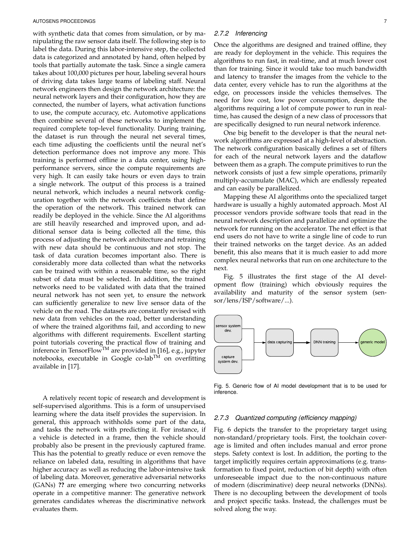with synthetic data that comes from simulation, or by manipulating the raw sensor data itself. The following step is to label the data. During this labor-intensive step, the collected data is categorized and annotated by hand, often helped by tools that partially automate the task. Since a single camera takes about 100,000 pictures per hour, labeling several hours of driving data takes large teams of labeling staff. Neural network engineers then design the network architecture: the neural network layers and their configuration, how they are connected, the number of layers, what activation functions to use, the compute accuracy, etc. Automotive applications then combine several of these networks to implement the required complete top-level functionality. During training, the dataset is run through the neural net several times, each time adjusting the coefficients until the neural net's detection performance does not improve any more. This training is performed offline in a data center, using highperformance servers, since the compute requirements are very high. It can easily take hours or even days to train a single network. The output of this process is a trained neural network, which includes a neural network configuration together with the network coefficients that define the operation of the network. This trained network can readily be deployed in the vehicle. Since the AI algorithms are still heavily researched and improved upon, and additional sensor data is being collected all the time, this process of adjusting the network architecture and retraining with new data should be continuous and not stop. The task of data curation becomes important also. There is considerably more data collected than what the networks can be trained with within a reasonable time, so the right subset of data must be selected. In addition, the trained networks need to be validated with data that the trained neural network has not seen yet, to ensure the network can sufficiently generalize to new live sensor data of the vehicle on the road. The datasets are constantly revised with new data from vehicles on the road, better understanding of where the trained algorithms fail, and according to new algorithms with different requirements. Excellent starting point tutorials covering the practical flow of training and inference in TensorFlow<sup>TM</sup> are provided in [16], e.g., jupyter notebooks, executable in Google co-lab<sup>TM</sup> on overfitting available in [17].

A relatively recent topic of research and development is self-supervised algorithms. This is a form of unsupervised learning where the data itself provides the supervision. In general, this approach withholds some part of the data, and tasks the network with predicting it. For instance, if a vehicle is detected in a frame, then the vehicle should probably also be present in the previously captured frame. This has the potential to greatly reduce or even remove the reliance on labeled data, resulting in algorithms that have higher accuracy as well as reducing the labor-intensive task of labeling data. Moreover, generative adversarial networks (GANs) **??** are emerging where two concurring networks operate in a competitive manner: The generative network generates candidates whereas the discriminative network evaluates them.

## *2.7.2 Inferencing*

Once the algorithms are designed and trained offline, they are ready for deployment in the vehicle. This requires the algorithms to run fast, in real-time, and at much lower cost than for training. Since it would take too much bandwidth and latency to transfer the images from the vehicle to the data center, every vehicle has to run the algorithms at the edge, on processors inside the vehicles themselves. The need for low cost, low power consumption, despite the algorithms requiring a lot of compute power to run in realtime, has caused the design of a new class of processors that are specifically designed to run neural network inference.

One big benefit to the developer is that the neural network algorithms are expressed at a high-level of abstraction. The network configuration basically defines a set of filters for each of the neural network layers and the dataflow between them as a graph. The compute primitives to run the network consists of just a few simple operations, primarily multiply-accumulate (MAC), which are endlessly repeated and can easily be parallelized.

Mapping these AI algorithms onto the specialized target hardware is usually a highly automated approach. Most AI processor vendors provide software tools that read in the neural network description and parallelize and optimize the network for running on the accelerator. The net effect is that end users do not have to write a single line of code to run their trained networks on the target device. As an added benefit, this also means that it is much easier to add more complex neural networks that run on one architecture to the next.

Fig. 5 illustrates the first stage of the AI development flow (training) which obviously requires the availability and maturity of the sensor system (sensor/lens/ISP/software/...).



Fig. 5. Generic flow of AI model development that is to be used for inference.

## *2.7.3 Quantized computing (efficiency mapping)*

Fig. 6 depicts the transfer to the proprietary target using non-standard/proprietary tools. First, the toolchain coverage is limited and often includes manual and error prone steps. Safety context is lost. In addition, the porting to the target implicitly requires certain approximations (e.g. transformation to fixed point, reduction of bit depth) with often unforeseeable impact due to the non-continuous nature of modern (discriminative) deep neural networks (DNNs). There is no decoupling between the development of tools and project specific tasks. Instead, the challenges must be solved along the way.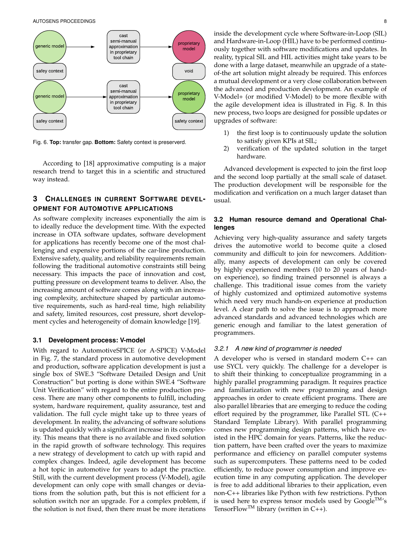

Fig. 6. **Top:** transfer gap. **Bottom:** Safety context is preserverd.

According to [18] approximative computing is a major research trend to target this in a scientific and structured way instead.

# **3 CHALLENGES IN CURRENT SOFTWARE DEVEL-OPMENT FOR AUTOMOTIVE APPLICATIONS**

As software complexity increases exponentially the aim is to ideally reduce the development time. With the expected increase in OTA software updates, software development for applications has recently become one of the most challenging and expensive portions of the car-line production. Extensive safety, quality, and reliability requirements remain following the traditional automotive constraints still being necessary. This impacts the pace of innovation and cost, putting pressure on development teams to deliver. Also, the increasing amount of software comes along with an increasing complexity, architecture shaped by particular automotive requirements, such as hard-real time, high reliability and safety, limited resources, cost pressure, short development cycles and heterogeneity of domain knowledge [19].

#### **3.1 Development process: V-model**

With regard to AutomotiveSPICE (or A-SPICE) V-Model in Fig. 7, the standard process in automotive development and production, software application development is just a single box of SWE.3 "Software Detailed Design and Unit Construction" but porting is done within SWE.4 "Software Unit Verification" with regard to the entire production process. There are many other components to fulfill, including system, hardware requirement, quality assurance, test and validation. The full cycle might take up to three years of development. In reality, the advancing of software solutions is updated quickly with a significant increase in its complexity. This means that there is no available and fixed solution in the rapid growth of software technology. This requires a new strategy of development to catch up with rapid and complex changes. Indeed, agile development has become a hot topic in automotive for years to adapt the practice. Still, with the current development process (V-Model), agile development can only cope with small changes or deviations from the solution path, but this is not efficient for a solution switch nor an upgrade. For a complex problem, if the solution is not fixed, then there must be more iterations

inside the development cycle where Software-in-Loop (SIL) and Hardware-in-Loop (HIL) have to be performed continuously together with software modifications and updates. In reality, typical SIL and HIL activities might take years to be done with a large dataset, meanwhile an upgrade of a stateof-the art solution might already be required. This enforces a mutual development or a very close collaboration between the advanced and production development. An example of V-Model+ (or modified V-Model) to be more flexible with the agile development idea is illustrated in Fig. 8. In this new process, two loops are designed for possible updates or upgrades of software:

- 1) the first loop is to continuously update the solution to satisfy given KPIs at SIL;
- 2) verification of the updated solution in the target hardware.

Advanced development is expected to join the first loop and the second loop partially at the small scale of dataset. The production development will be responsible for the modification and verification on a much larger dataset than usual.

## **3.2 Human resource demand and Operational Challenges**

Achieving very high-quality assurance and safety targets drives the automotive world to become quite a closed community and difficult to join for newcomers. Additionally, many aspects of development can only be covered by highly experienced members (10 to 20 years of handon experience), so finding trained personnel is always a challenge. This traditional issue comes from the variety of highly customized and optimized automotive systems which need very much hands-on experience at production level. A clear path to solve the issue is to approach more advanced standards and advanced technologies which are generic enough and familiar to the latest generation of programmers.

#### *3.2.1 A new kind of programmer is needed*

A developer who is versed in standard modern C++ can use SYCL very quickly. The challenge for a developer is to shift their thinking to conceptualize programming in a highly parallel programming paradigm. It requires practice and familiarization with new programming and design approaches in order to create efficient programs. There are also parallel libraries that are emerging to reduce the coding effort required by the programmer, like Parallel STL (C++ Standard Template Library). With parallel programming comes new programming design patterns, which have existed in the HPC domain for years. Patterns, like the reduction pattern, have been crafted over the years to maximize performance and efficiency on parallel computer systems such as supercomputers. These patterns need to be coded efficiently, to reduce power consumption and improve execution time in any computing application. The developer is free to add additional libraries to their application, even non-C++ libraries like Python with few restrictions. Python is used here to express tensor models used by  $Google^{TM}$ 's TensorFlow<sup>TM</sup> library (written in  $C_{++}$ ).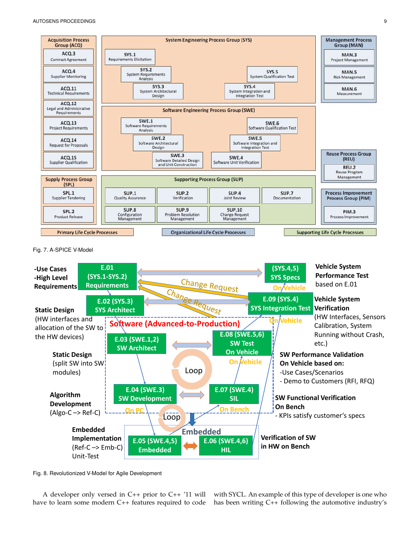

Fig. 7. A-SPICE V-Model



Fig. 8. Revolutionized V-Model for Agile Development

A developer only versed in C++ prior to C++ '11 will have to learn some modern C++ features required to code with SYCL. An example of this type of developer is one who has been writing C++ following the automotive industry's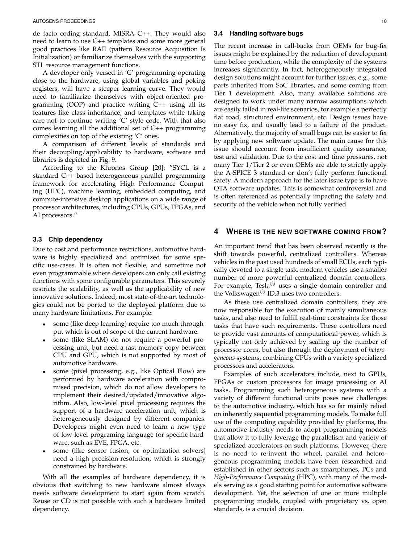de facto coding standard, MISRA C++. They would also need to learn to use C++ templates and some more general good practices like RAII (pattern Resource Acquisition Is Initialization) or familiarize themselves with the supporting STL resource management functions.

A developer only versed in 'C' programming operating close to the hardware, using global variables and poking registers, will have a steeper learning curve. They would need to familiarize themselves with object-oriented programming (OOP) and practice writing C++ using all its features like class inheritance, and templates while taking care not to continue writing 'C' style code. With that also comes learning all the additional set of C++ programming complexities on top of the existing 'C' ones.

A comparison of different levels of standards and their decoupling/applicability to hardware, software and libraries is depicted in Fig. 9.

According to the Khronos Group [20]: "SYCL is a standard C++ based heterogeneous parallel programming framework for accelerating High Performance Computing (HPC), machine learning, embedded computing, and compute-intensive desktop applications on a wide range of processor architectures, including CPUs, GPUs, FPGAs, and AI processors."

## **3.3 Chip dependency**

Due to cost and performance restrictions, automotive hardware is highly specialized and optimized for some specific use-cases. It is often not flexible, and sometime not even programmable where developers can only call existing functions with some configurable parameters. This severely restricts the scalability, as well as the applicability of new innovative solutions. Indeed, most state-of-the-art technologies could not be ported to the deployed platform due to many hardware limitations. For example:

- some (like deep learning) require too much throughput which is out of scope of the current hardware.
- some (like SLAM) do not require a powerful processing unit, but need a fast memory copy between CPU and GPU, which is not supported by most of automotive hardware.
- some (pixel processing, e.g., like Optical Flow) are performed by hardware acceleration with compromised precision, which do not allow developers to implement their desired/updated/innovative algorithm. Also, low-level pixel processing requires the support of a hardware acceleration unit, which is heterogeneously designed by different companies. Developers might even need to learn a new type of low-level programing language for specific hardware, such as EVE, FPGA, etc.
- some (like sensor fusion, or optimization solvers) need a high precision-resolution, which is strongly constrained by hardware.

With all the examples of hardware dependency, it is obvious that switching to new hardware almost always needs software development to start again from scratch. Reuse or CD is not possible with such a hardware limited dependency.

## **3.4 Handling software bugs**

The recent increase in call-backs from OEMs for bug-fix issues might be explained by the reduction of development time before production, while the complexity of the systems increases significantly. In fact, heterogeneously integrated design solutions might account for further issues, e.g., some parts inherited from SoC libraries, and some coming from Tier 1 development. Also, many available solutions are designed to work under many narrow assumptions which are easily failed in real-life scenarios, for example a perfectly flat road, structured environment, etc. Design issues have no easy fix, and usually lead to a failure of the product. Alternatively, the majority of small bugs can be easier to fix by applying new software update. The main cause for this issue should account from insufficient quality assurance, test and validation. Due to the cost and time pressures, not many Tier 1/Tier 2 or even OEMs are able to strictly apply the A-SPICE 3 standard or don't fully perform functional safety. A modern approach for the later issue type is to have OTA software updates. This is somewhat controversial and is often referenced as potentially impacting the safety and security of the vehicle when not fully verified.

# **4 WHERE IS THE NEW SOFTWARE COMING FROM?**

An important trend that has been observed recently is the shift towards powerful, centralized controllers. Whereas vehicles in the past used hundreds of small ECUs, each typically devoted to a single task, modern vehicles use a smaller number of more powerful centralized domain controllers. For example, Tesla $^{\circledR}$  uses a single domain controller and the Volkswagen<sup>®</sup> ID.3 uses two controllers.

As these use centralized domain controllers, they are now responsible for the execution of mainly simultaneous tasks, and also need to fulfill real-time constraints for those tasks that have such requirements. These controllers need to provide vast amounts of computational power, which is typically not only achieved by scaling up the number of processor cores, but also through the deployment of *heterogeneous* systems, combining CPUs with a variety specialized processors and accelerators.

Examples of such accelerators include, next to GPUs, FPGAs or custom processors for image processing or AI tasks. Programming such heterogeneous systems with a variety of different functional units poses new challenges to the automotive industry, which has so far mainly relied on inherently sequential programming models. To make full use of the computing capability provided by platforms, the automotive industry needs to adopt programming models that allow it to fully leverage the parallelism and variety of specialized accelerators on such platforms. However, there is no need to re-invent the wheel, parallel and heterogeneous programming models have been researched and established in other sectors such as smartphones, PCs and *High-Performance Computing* (HPC), with many of the models serving as a good starting point for automotive software development. Yet, the selection of one or more multiple programming models, coupled with proprietary vs. open standards, is a crucial decision.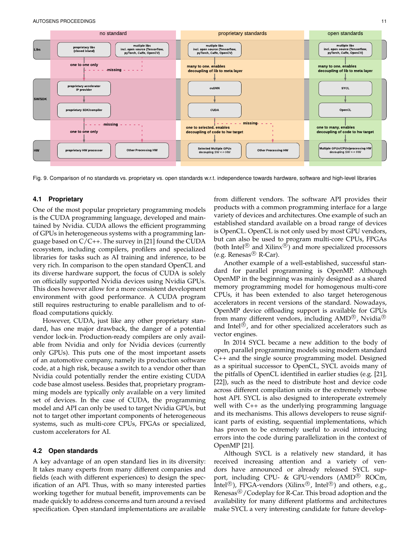

Fig. 9. Comparison of no standards vs. proprietary vs. open standards w.r.t. independence towards hardware, software and high-level libraries

## **4.1 Proprietary**

One of the most popular proprietary programming models is the CUDA programming language, developed and maintained by Nvidia. CUDA allows the efficient programming of GPUs in heterogeneous systems with a programming language based on C/C++. The survey in [21] found the CUDA ecosystem, including compilers, profilers and specialized libraries for tasks such as AI training and inference, to be very rich. In comparison to the open standard OpenCL and its diverse hardware support, the focus of CUDA is solely on officially supported Nvidia devices using Nvidia GPUs. This does however allow for a more consistent development environment with good performance. A CUDA program still requires restructuring to enable parallelism and to offload computations quickly.

However, CUDA, just like any other proprietary standard, has one major drawback, the danger of a potential vendor lock-in. Production-ready compilers are only available from Nvidia and only for Nvidia devices (currently only GPUs). This puts one of the most important assets of an automotive company, namely its production software code, at a high risk, because a switch to a vendor other than Nvidia could potentially render the entire existing CUDA code base almost useless. Besides that, proprietary programming models are typically only available on a very limited set of devices. In the case of CUDA, the programming model and API can only be used to target Nvidia GPUs, but not to target other important components of heterogeneous systems, such as multi-core CPUs, FPGAs or specialized, custom accelerators for AI.

#### **4.2 Open standards**

A key advantage of an open standard lies in its diversity: It takes many experts from many different companies and fields (each with different experiences) to design the specification of an API. Thus, with so many interested parties working together for mutual benefit, improvements can be made quickly to address concerns and turn around a revised specification. Open standard implementations are available

from different vendors. The software API provides their products with a common programming interface for a large variety of devices and architectures. One example of such an established standard available on a broad range of devices is OpenCL. OpenCL is not only used by most GPU vendors, but can also be used to program multi-core CPUs, FPGAs (both Intel® and Xilinx®) and more specialized processors (e.g. Renesas<sup> $\circledR$ </sup> R-Car).

Another example of a well-established, successful standard for parallel programming is OpenMP. Although OpenMP in the beginning was mainly designed as a shared memory programming model for homogenous multi-core CPUs, it has been extended to also target heterogenous accelerators in recent versions of the standard. Nowadays, OpenMP device offloading support is available for GPUs from many different vendors, including AMD®, Nvidia® and Intel $^{\circledR}$ , and for other specialized accelerators such as vector engines.

In 2014 SYCL became a new addition to the body of open, parallel programming models using modern standard C++ and the single source programming model. Designed as a spiritual successor to OpenCL, SYCL avoids many of the pitfalls of OpenCL identified in earlier studies (e.g. [21], [22]), such as the need to distribute host and device code across different compilation units or the extremely verbose host API. SYCL is also designed to interoperate extremely well with C++ as the underlying programming language and its mechanisms. This allows developers to reuse significant parts of existing, sequential implementations, which has proven to be extremely useful to avoid introducing errors into the code during parallelization in the context of OpenMP [21].

Although SYCL is a relatively new standard, it has received increasing attention and a variety of vendors have announced or already released SYCL support, including CPU- & GPU-vendors  $(AMD^{\circledR}$  ROCm, Intel<sup>®</sup>), FPGA-vendors (Xilinx®, Intel®) and others, e.g., Renesas $\mathbb{R}/\mathbb{C}$  odeplay for R-Car. This broad adoption and the availability for many different platforms and architectures make SYCL a very interesting candidate for future develop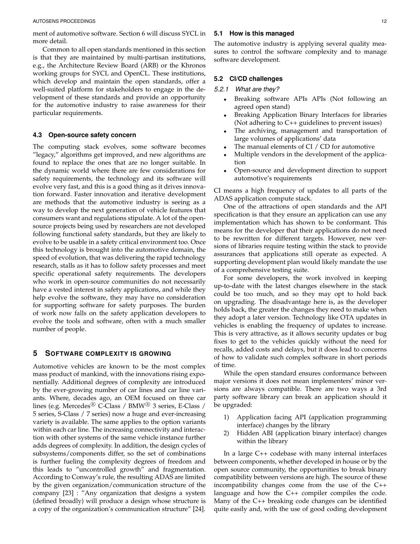ment of automotive software. Section 6 will discuss SYCL in more detail.

Common to all open standards mentioned in this section is that they are maintained by multi-partisan institutions, e.g., the Architecture Review Board (ARB) or the Khronos working groups for SYCL and OpenCL. These institutions, which develop and maintain the open standards, offer a well-suited platform for stakeholders to engage in the development of these standards and provide an opportunity for the automotive industry to raise awareness for their particular requirements.

### **4.3 Open-source safety concern**

The computing stack evolves, some software becomes "legacy," algorithms get improved, and new algorithms are found to replace the ones that are no longer suitable. In the dynamic world where there are few considerations for safety requirements, the technology and its software will evolve very fast, and this is a good thing as it drives innovation forward. Faster innovation and iterative development are methods that the automotive industry is seeing as a way to develop the next generation of vehicle features that consumers want and regulations stipulate. A lot of the opensource projects being used by researchers are not developed following functional safety standards, but they are likely to evolve to be usable in a safety critical environment too. Once this technology is brought into the automotive domain, the speed of evolution, that was delivering the rapid technology research, stalls as it has to follow safety processes and meet specific operational safety requirements. The developers who work in open-source communities do not necessarily have a vested interest in safety applications, and while they help evolve the software, they may have no consideration for supporting software for safety purposes. The burden of work now falls on the safety application developers to evolve the tools and software, often with a much smaller number of people.

## **5 SOFTWARE COMPLEXITY IS GROWING**

Automotive vehicles are known to be the most complex mass product of mankind, with the innovations rising exponentially. Additional degrees of complexity are introduced by the ever-growing number of car lines and car line variants. Where, decades ago, an OEM focused on three car lines (e.g. Mercedes® C-Class / BMW® 3 series, E-Class / 5 series, S-Class / 7 series) now a huge and ever-increasing variety is available. The same applies to the option variants within each car line. The increasing connectivity and interaction with other systems of the same vehicle instance further adds degrees of complexity. In addition, the design cycles of subsystems/components differ, so the set of combinations is further fueling the complexity degrees of freedom and this leads to "uncontrolled growth" and fragmentation. According to Conway's rule, the resulting ADAS are limited by the given organization/communication structure of the company [23] : "Any organization that designs a system (defined broadly) will produce a design whose structure is a copy of the organization's communication structure" [24].

## **5.1 How is this managed**

The automotive industry is applying several quality measures to control the software complexity and to manage software development.

# **5.2 CI/CD challenges**

## *5.2.1 What are they?*

- Breaking software APIs APIs (Not following an agreed open stand)
- Breaking Application Binary Interfaces for libraries (Not adhering to C++ guidelines to prevent issues)
- The archiving, management and transportation of large volumes of applications' data
- The manual elements of CI  $/$  CD for automotive
- Multiple vendors in the development of the application
- Open-source and development direction to support automotive's requirements

CI means a high frequency of updates to all parts of the ADAS application compute stack.

One of the attractions of open standards and the API specification is that they ensure an application can use any implementation which has shown to be conformant. This means for the developer that their applications do not need to be rewritten for different targets. However, new versions of libraries require testing within the stack to provide assurances that applications still operate as expected. A supporting development plan would likely mandate the use of a comprehensive testing suite.

For some developers, the work involved in keeping up-to-date with the latest changes elsewhere in the stack could be too much, and so they may opt to hold back on upgrading. The disadvantage here is, as the developer holds back, the greater the changes they need to make when they adopt a later version. Technology like OTA updates in vehicles is enabling the frequency of updates to increase. This is very attractive, as it allows security updates or bug fixes to get to the vehicles quickly without the need for recalls, added costs and delays, but it does lead to concerns of how to validate such complex software in short periods of time.

While the open standard ensures conformance between major versions it does not mean implementers' minor versions are always compatible. There are two ways a 3rd party software library can break an application should it be upgraded:

- 1) Application facing API (application programming interface) changes by the library
- 2) Hidden ABI (application binary interface) changes within the library

In a large C++ codebase with many internal interfaces between components, whether developed in house or by the open source community, the opportunities to break binary compatibility between versions are high. The source of these incompatibility changes come from the use of the C++ language and how the C++ compiler compiles the code. Many of the C++ breaking code changes can be identified quite easily and, with the use of good coding development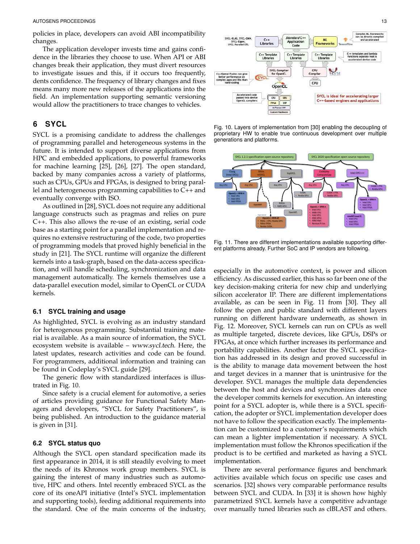policies in place, developers can avoid ABI incompatibility changes.

The application developer invests time and gains confidence in the libraries they choose to use. When API or ABI changes break their application, they must divert resources to investigate issues and this, if it occurs too frequently, dents confidence. The frequency of library changes and fixes means many more new releases of the applications into the field. An implementation supporting semantic versioning would allow the practitioners to trace changes to vehicles.

# **6 SYCL**

SYCL is a promising candidate to address the challenges of programming parallel and heterogeneous systems in the future. It is intended to support diverse applications from HPC and embedded applications, to powerful frameworks for machine learning [25], [26], [27]. The open standard, backed by many companies across a variety of platforms, such as CPUs, GPUs and FPGAs, is designed to bring parallel and heterogeneous programming capabilities to C++ and eventually converge with ISO.

As outlined in [28], SYCL does not require any additional language constructs such as pragmas and relies on pure C++. This also allows the re-use of an existing, serial code base as a starting point for a parallel implementation and requires no extensive restructuring of the code, two properties of programming models that proved highly beneficial in the study in [21]. The SYCL runtime will organize the different kernels into a task-graph, based on the data-access specification, and will handle scheduling, synchronization and data management automatically. The kernels themselves use a data-parallel execution model, similar to OpenCL or CUDA kernels.

#### **6.1 SYCL training and usage**

As highlighted, SYCL is evolving as an industry standard for heterogenous programming. Substantial training material is available. As a main source of information, the SYCL ecosystem website is available – www.sycl.tech. Here, the latest updates, research activities and code can be found. For programmers, additional information and training can be found in Codeplay's SYCL guide [29].

The generic flow with standardized interfaces is illustrated in Fig. 10.

Since safety is a crucial element for automotive, a series of articles providing guidance for Functional Safety Managers and developers, "SYCL for Safety Practitioners", is being published. An introduction to the guidance material is given in [31].

## **6.2 SYCL status quo**

Although the SYCL open standard specification made its first appearance in 2014, it is still steadily evolving to meet the needs of its Khronos work group members. SYCL is gaining the interest of many industries such as automotive, HPC and others. Intel recently embraced SYCL as the core of its oneAPI initiative (Intel's SYCL implementation and supporting tools), feeding additional requirements into the standard. One of the main concerns of the industry,







Fig. 11. There are different implementations available supporting different platforms already. Further SoC and IP vendors are following.

especially in the automotive context, is power and silicon efficiency. As discussed earlier, this has so far been one of the key decision-making criteria for new chip and underlying silicon accelerator IP. There are different implementations available, as can be seen in Fig. 11 from [30]. They all follow the open and public standard with different layers running on different hardware underneath, as shown in Fig. 12. Moreover, SYCL kernels can run on CPUs as well as multiple targeted, discrete devices, like GPUs, DSPs or FPGAs, at once which further increases its performance and portability capabilities. Another factor the SYCL specification has addressed in its design and proved successful in is the ability to manage data movement between the host and target devices in a manner that is unintrusive for the developer. SYCL manages the multiple data dependencies between the host and devices and synchronizes data once the developer commits kernels for execution. An interesting point for a SYCL adopter is, while there is a SYCL specification, the adopter or SYCL implementation developer does not have to follow the specification exactly. The implementation can be customized to a customer's requirements which can mean a lighter implementation if necessary. A SYCL implementation must follow the Khronos specification if the product is to be certified and marketed as having a SYCL implementation.

There are several performance figures and benchmark activities available which focus on specific use cases and scenarios. [32] shows very comparable performance results between SYCL and CUDA. In [33] it is shown how highly parametrized SYCL kernels have a competitive advantage over manually tuned libraries such as clBLAST and others.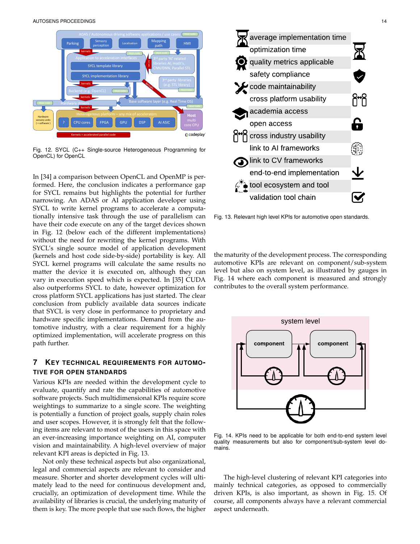

Fig. 12. SYCL (C++ Single-source Heterogeneous Programming for OpenCL) for OpenCL

In [34] a comparison between OpenCL and OpenMP is performed. Here, the conclusion indicates a performance gap for SYCL remains but highlights the potential for further narrowing. An ADAS or AI application developer using SYCL to write kernel programs to accelerate a computationally intensive task through the use of parallelism can have their code execute on any of the target devices shown in Fig. 12 (below each of the different implementations) without the need for rewriting the kernel programs. With SYCL's single source model of application development (kernels and host code side-by-side) portability is key. All SYCL kernel programs will calculate the same results no matter the device it is executed on, although they can vary in execution speed which is expected. In [35] CUDA also outperforms SYCL to date, however optimization for cross platform SYCL applications has just started. The clear conclusion from publicly available data sources indicate that SYCL is very close in performance to proprietary and hardware specific implementations. Demand from the automotive industry, with a clear requirement for a highly optimized implementation, will accelerate progress on this path further.

# **7 KEY TECHNICAL REQUIREMENTS FOR AUTOMO-TIVE FOR OPEN STANDARDS**

Various KPIs are needed within the development cycle to evaluate, quantify and rate the capabilities of automotive software projects. Such multidimensional KPIs require score weightings to summarize to a single score. The weighting is potentially a function of project goals, supply chain roles and user scopes. However, it is strongly felt that the following items are relevant to most of the users in this space with an ever-increasing importance weighting on AI, computer vision and maintainability. A high-level overview of major relevant KPI areas is depicted in Fig. 13.

Not only these technical aspects but also organizational, legal and commercial aspects are relevant to consider and measure. Shorter and shorter development cycles will ultimately lead to the need for continuous development and, crucially, an optimization of development time. While the availability of libraries is crucial, the underlying maturity of them is key. The more people that use such flows, the higher



Fig. 13. Relevant high level KPIs for automotive open standards.

the maturity of the development process. The corresponding automotive KPIs are relevant on component/sub-system level but also on system level, as illustrated by gauges in Fig. 14 where each component is measured and strongly contributes to the overall system performance.



Fig. 14. KPIs need to be applicable for both end-to-end system level quality measurements but also for component/sub-system level domains.

The high-level clustering of relevant KPI categories into mainly technical categories, as opposed to commercially driven KPIs, is also important, as shown in Fig. 15. Of course, all components always have a relevant commercial aspect underneath.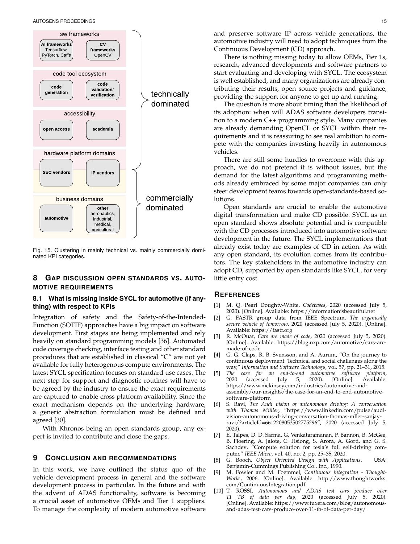

Fig. 15. Clustering in mainly technical vs. mainly commercially dominated KPI categories.

# **8 GAP DISCUSSION OPEN STANDARDS VS. AUTO-MOTIVE REQUIREMENTS**

## **8.1 What is missing inside SYCL for automotive (if anything) with respect to KPIs**

Integration of safety and the Safety-of-the-Intended-Function (SOTIF) approaches have a big impact on software development. First stages are being implemented and rely heavily on standard programming models [36]. Automated code coverage checking, interface testing and other standard procedures that are established in classical "C" are not yet available for fully heterogenous compute environments. The latest SYCL specification focuses on standard use cases. The next step for support and diagnostic routines will have to be agreed by the industry to ensure the exact requirements are captured to enable cross platform availability. Since the exact mechanism depends on the underlying hardware, a generic abstraction formulation must be defined and agreed [30].

With Khronos being an open standards group, any expert is invited to contribute and close the gaps.

## **9 CONCLUSION AND RECOMMENDATIONS**

In this work, we have outlined the status quo of the vehicle development process in general and the software development process in particular. In the future and with the advent of ADAS functionality, software is becoming a crucial asset of automotive OEMs and Tier 1 suppliers. To manage the complexity of modern automotive software and preserve software IP across vehicle generations, the automotive industry will need to adopt techniques from the Continuous Development (CD) approach.

There is nothing missing today to allow OEMs, Tier 1s, research, advanced developments and software partners to start evaluating and developing with SYCL. The ecosystem is well established, and many organizations are already contributing their results, open source projects and guidance, providing the support for anyone to get up and running.

The question is more about timing than the likelihood of its adoption: when will ADAS software developers transition to a modern C++ programming style. Many companies are already demanding OpenCL or SYCL within their requirements and it is reassuring to see real ambition to compete with the companies investing heavily in autonomous vehicles.

There are still some hurdles to overcome with this approach, we do not pretend it is without issues, but the demand for the latest algorithms and programming methods already embraced by some major companies can only steer development teams towards open-standards-based solutions.

Open standards are crucial to enable the automotive digital transformation and make CD possible. SYCL as an open standard shows absolute potential and is compatible with the CD processes introduced into automotive software development in the future. The SYCL implementations that already exist today are examples of CD in action. As with any open standard, its evolution comes from its contributors. The key stakeholders in the automotive industry can adopt CD, supported by open standards like SYCL, for very little entry cost.

## **REFERENCES**

- [1] M. Q. Pearl Doughty-White, *Codebases*, 2020 (accessed July 5, 2020). [Online]. Available: https://informationisbeautiful.net
- [2] G. FASTR group data from IEEE Spectrum, *The organically secure vehicle of tomorrow*, 2020 (accessed July 5, 2020). [Online]. Available: https://fastr.org
- [3] R. McOuat, *Cars are made of code*, 2020 (accessed July 5, 2020). [Online]. Available: https://blog.nxp.com/automotive/cars-aremade-of-code
- [4] G. G. Claps, R. B. Svensson, and A. Aurum, "On the journey to continuous deployment: Technical and social challenges along the way," *Information and Software Technology*, vol. 57, pp. 21–31, 2015.
- [5] *The case for an end-to-end automotive software platform*,  $(accessed$  July 5, 2020). https://www.mckinsey.com/industries/automotive-andassembly/our-insights/the-case-for-an-end-to-end-automotivesoftware-platform
- [6] S. Ravi, *The Audi vision of autonomous driving: A conversation with Thomas Müller, "https://www.linkedin.com/pulse/audi*vision-autonomous-driving-conversation-thomas-mller-sanjayravi/?articleId=6612208053502775296", 2020 (accessed July 5, 2020).
- [7] E. Talpes, D. D. Sarma, G. Venkataramanan, P. Bannon, B. McGee, B. Floering, A. Jalote, C. Hsiong, S. Arora, A. Gorti, and G. S. Sachdev, "Compute solution for tesla's full self-driving computer," *IEEE Micro*, vol. 40, no. 2, pp. 25–35, 2020.
- [8] G. Booch, *Object Oriented Design with Applications*. USA: Benjamin-Cummings Publishing Co., Inc., 1990.
- [9] M. Fowler and M. Foemmel, *Continuous integration Thought-Works*, 2006. [Online]. Available: http://www.thoughtworks. com/ContinuousIntegration.pdf
- [10] T. ROSSI, *Autonomous and ADAS test cars produce over 11 TB of data per day*, 2020 (accessed July 5, 2020). [Online]. Available: https://www.tuxera.com/blog/autonomousand-adas-test-cars-produce-over-11-tb-of-data-per-day/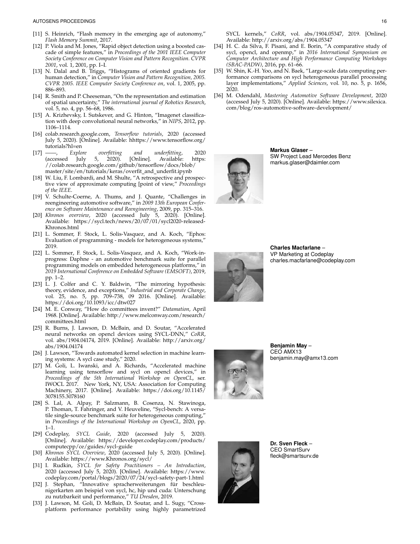- [11] S. Heinrich, "Flash memory in the emerging age of autonomy," *Flash Memory Summit*, 2017.
- [12] P. Viola and M. Jones, "Rapid object detection using a boosted cascade of simple features," in *Proceedings of the 2001 IEEE Computer Society Conference on Computer Vision and Pattern Recognition. CVPR 2001*, vol. 1, 2001, pp. I–I.
- [13] N. Dalal and B. Triggs, "Histograms of oriented gradients for human detection," in *Computer Vision and Pattern Recognition, 2005. CVPR 2005. IEEE Computer Society Conference on*, vol. 1, 2005, pp. 886–893.
- [14] R. Smith and P. Cheeseman, "On the representation and estimation of spatial uncertainty," *The international journal of Robotics Research*, vol. 5, no. 4, pp. 56–68, 1986.
- [15] A. Krizhevsky, I. Sutskever, and G. Hinton, "Imagenet classification with deep convolutional neural networks," in *NIPS*, 2012, pp. 1106–1114.
- [16] colab.research.google.com, *Tensorflow tutorials*, 2020 (accessed July 5, 2020). [Online]. Available: hhttps://www.tensorflow.org/ tutorials?hl=en
- [17] ——, *Explore overfitting and underfitting*, 2020 (accessed July 5, 2020). [Online]. Available: https: //colab.research.google.com/github/tensorflow/docs/blob/ master/site/en/tutorials/keras/overfit\_and\_underfit.ipynb
- [18] W. Liu, F. Lombardi, and M. Shulte, "A retrospective and prospective view of approximate computing [point of view," *Proceedings of the IEEE*.
- [19] V. Schulte-Coerne, A. Thums, and J. Quante, "Challenges in reengineering automotive software," in *2009 13th European Conference on Software Maintenance and Reengineering*, 2009, pp. 315–316.
- [20] *Khronos overview*, 2020 (accessed July 5, 2020). [Online]. Available: https://sycl.tech/news/20/07/01/sycl2020-released-Khronos.html
- [21] L. Sommer, F. Stock, L. Solis-Vasquez, and A. Koch, "Ephos: Evaluation of programming - models for heterogeneous systems," 2019.
- [22] L. Sommer, F. Stock, L. Solis-Vasquez, and A. Koch, "Work-inprogress: Daphne - an automotive benchmark suite for parallel programming models on embedded heterogeneous platforms," in *2019 International Conference on Embedded Software (EMSOFT)*, 2019, pp. 1–2.
- [23] L. J. Colfer and C. Y. Baldwin, "The mirroring hypothesis: theory, evidence, and exceptions," *Industrial and Corporate Change*, vol. 25, no. 5, pp. 709–738, 09 2016. [Online]. Available: https://doi.org/10.1093/icc/dtw027
- [24] M. E. Conway, "How do committees invent?" *Datamation*, April 1968. [Online]. Available: http://www.melconway.com/research/ committees.html
- [25] R. Burns, J. Lawson, D. McBain, and D. Soutar, "Accelerated neural networks on opencl devices using SYCL-DNN," *CoRR*, vol. abs/1904.04174, 2019. [Online]. Available: http://arxiv.org/ abs/1904.04174
- [26] J. Lawson, "Towards automated kernel selection in machine learning systems: A sycl case study," 2020.
- [27] M. Goli, L. Iwanski, and A. Richards, "Accelerated machine learning using tensorflow and sycl on opencl devices," in *Proceedings of the 5th International Workshop on OpenCL*, ser. IWOCL 2017. New York, NY, USA: Association for Computing Machinery, 2017. [Online]. Available: https://doi.org/10.1145/ 3078155.3078160
- [28] S. Lal, A. Alpay, P. Salzmann, B. Cosenza, N. Stawinoga, P. Thoman, T. Fahringer, and V. Heuveline, "Sycl-bench: A versatile single-source benchmark suite for heterogeneous computing," in *Proceedings of the International Workshop on OpenCL*, 2020, pp. 1–1.
- [29] Codeplay, *SYCL Guide*, 2020 (accessed July 5, 2020). [Online]. Available: https://developer.codeplay.com/products/ computecpp/ce/guides/sycl-guide
- [30] *Khronos SYCL Overview*, 2020 (accessed July 5, 2020). [Online]. Available: https://www.Khronos.org/sycl/
- [31] I. Rudkin, *SYCL for Safety Practitioners An Introduction*, 2020 (accessed July 5, 2020). [Online]. Available: https://www. codeplay.com/portal/blogs/2020/07/24/sycl-safety-part-1.html
- [32] J. Stephan, "Innovative spracherweiterungen für beschleunigerkarten am beispiel von sycl, hc, hip und cuda: Unterschung zu nutzbarkeit und performance," *TU Dresden*, 2019.
- [33] J. Lawson, M. Goli, D. McBain, D. Soutar, and L. Sugy, "Crossplatform performance portability using highly parametrized
- [34] H. C. da Silva, F. Pisani, and E. Borin, "A comparative study of sycl, opencl, and openmp," in *2016 International Symposium on Computer Architecture and High Performance Computing Workshops (SBAC-PADW)*, 2016, pp. 61–66.
- [35] W. Shin, K.-H. Yoo, and N. Baek, "Large-scale data computing performance comparisons on sycl heterogeneous parallel processing layer implementations," *Applied Sciences*, vol. 10, no. 5, p. 1656, 2020.
- [36] M. Odendahl, *Mastering Automotive Software Development*, 2020 (accessed July 5, 2020). [Online]. Available: https://www.silexica. com/blog/ros-automotive-software-development/

**Markus Glaser** – SW Project Lead Mercedes Benz markus.glaser@daimler.com



**Charles Macfarlane** – VP Marketing at Codeplay charles.macfarlane@codeplay.com



**Benjamin May** – CEO AMX13 benjamin.may@amx13.com



**Dr. Sven Fleck** – CEO SmartSurv fleck@smartsurv.de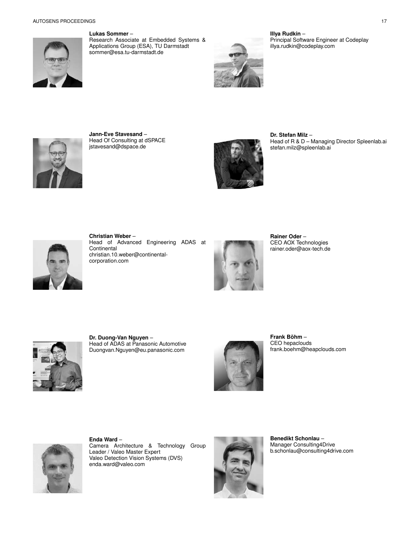

**Lukas Sommer** –

Research Associate at Embedded Systems & Applications Group (ESA), TU Darmstadt sommer@esa.tu-darmstadt.de



**Illya Rudkin** – Principal Software Engineer at Codeplay illya.rudkin@codeplay.com



**Jann-Eve Stavesand** – Head Of Consulting at dSPACE jstavesand@dspace.de



**Dr. Stefan Milz** – Head of R & D – Managing Director Spleenlab.ai stefan.milz@spleenlab.ai



**Christian Weber** – Head of Advanced Engineering ADAS at **Continental** christian.10.weber@continentalcorporation.com



**Rainer Oder** – CEO AOX Technologies rainer.oder@aox-tech.de



**Dr. Duong-Van Nguyen** – Head of ADAS at Panasonic Automotive Duongvan.Nguyen@eu.panasonic.com



**Frank Bohm ¨** – CEO hepaclouds frank.boehm@heapclouds.com



**Enda Ward** – Camera Architecture & Technology Group Leader / Valeo Master Expert Valeo Detection Vision Systems (DVS) enda.ward@valeo.com



**Benedikt Schonlau** – Manager Consulting4Drive b.schonlau@consulting4drive.com